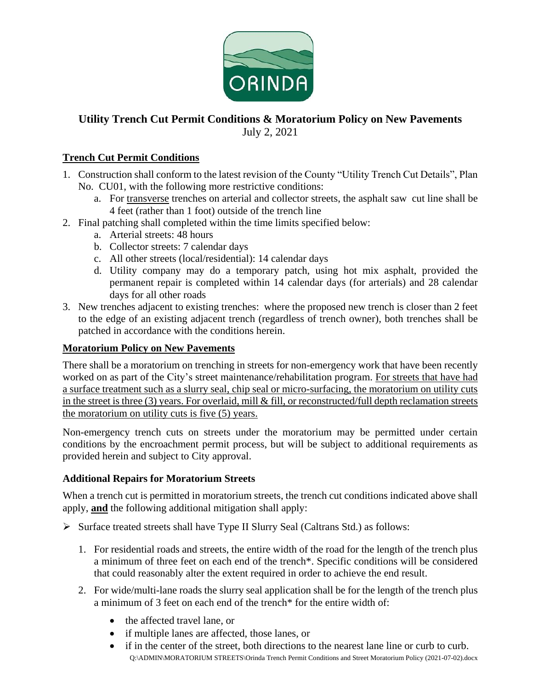

## **Utility Trench Cut Permit Conditions & Moratorium Policy on New Pavements**

July 2, 2021

## **Trench Cut Permit Conditions**

- 1. Construction shall conform to the latest revision of the County "Utility Trench Cut Details", Plan No. CU01, with the following more restrictive conditions:
	- a. For transverse trenches on arterial and collector streets, the asphalt saw cut line shall be 4 feet (rather than 1 foot) outside of the trench line
- 2. Final patching shall completed within the time limits specified below:
	- a. Arterial streets: 48 hours
	- b. Collector streets: 7 calendar days
	- c. All other streets (local/residential): 14 calendar days
	- d. Utility company may do a temporary patch, using hot mix asphalt, provided the permanent repair is completed within 14 calendar days (for arterials) and 28 calendar days for all other roads
- 3. New trenches adjacent to existing trenches: where the proposed new trench is closer than 2 feet to the edge of an existing adjacent trench (regardless of trench owner), both trenches shall be patched in accordance with the conditions herein.

## **Moratorium Policy on New Pavements**

There shall be a moratorium on trenching in streets for non-emergency work that have been recently worked on as part of the City's street maintenance/rehabilitation program. For streets that have had a surface treatment such as a slurry seal, chip seal or micro-surfacing, the moratorium on utility cuts in the street is three (3) years. For overlaid, mill & fill, or reconstructed/full depth reclamation streets the moratorium on utility cuts is five (5) years.

Non-emergency trench cuts on streets under the moratorium may be permitted under certain conditions by the encroachment permit process, but will be subject to additional requirements as provided herein and subject to City approval.

## **Additional Repairs for Moratorium Streets**

When a trench cut is permitted in moratorium streets, the trench cut conditions indicated above shall apply, **and** the following additional mitigation shall apply:

- $\triangleright$  Surface treated streets shall have Type II Slurry Seal (Caltrans Std.) as follows:
	- 1. For residential roads and streets, the entire width of the road for the length of the trench plus a minimum of three feet on each end of the trench\*. Specific conditions will be considered that could reasonably alter the extent required in order to achieve the end result.
	- 2. For wide/multi-lane roads the slurry seal application shall be for the length of the trench plus a minimum of 3 feet on each end of the trench\* for the entire width of:
		- the affected travel lane, or
		- if multiple lanes are affected, those lanes, or
		- Q:\ADMIN\MORATORIUM STREETS\Orinda Trench Permit Conditions and Street Moratorium Policy (2021-07-02).docx if in the center of the street, both directions to the nearest lane line or curb to curb.